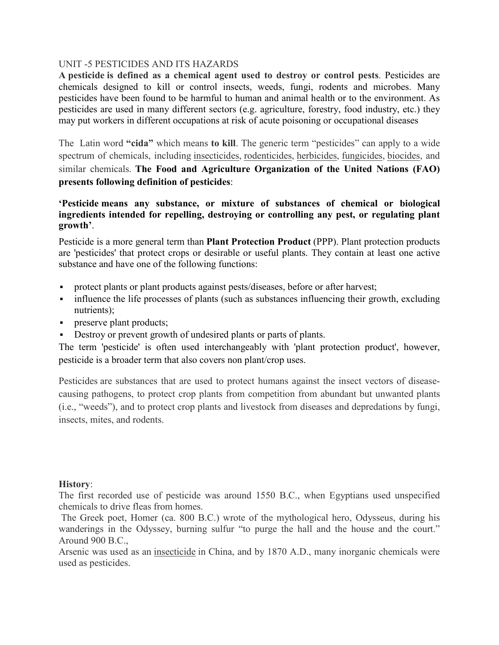### UNIT -5 PESTICIDES AND ITS HAZARDS

**A pesticide is defined as a chemical agent used to destroy or control pests**. Pesticides are chemicals designed to kill or control insects, weeds, fungi, rodents and microbes. Many pesticides have been found to be harmful to human and animal health or to the environment. As pesticides are used in many different sectors (e.g. agriculture, forestry, food industry, etc.) they may put workers in different occupations at risk of acute poisoning or occupational diseases

The Latin word **"cida"** which means **to kill**. The generic term "pesticides" can apply to a wide spectrum of chemicals, including insecticides, rodenticides, herbicides, fungicides, biocides, and similar chemicals. **The Food and Agriculture Organization of the United Nations (FAO) presents following definition of pesticides**:

## **'Pesticide means any substance, or mixture of substances of chemical or biological ingredients intended for repelling, destroying or controlling any pest, or regulating plant growth'**.

Pesticide is a more general term than **Plant Protection Product** (PPP). Plant protection products are 'pesticides' that protect crops or desirable or useful plants. They contain at least one active substance and have one of the following functions:

- protect plants or plant products against pests/diseases, before or after harvest;
- influence the life processes of plants (such as substances influencing their growth, excluding nutrients);
- preserve plant products;
- Destroy or prevent growth of undesired plants or parts of plants.

The term 'pesticide' is often used interchangeably with 'plant protection product', however, pesticide is a broader term that also covers non plant/crop uses.

Pesticides are substances that are used to protect humans against the insect vectors of diseasecausing pathogens, to protect crop plants from competition from abundant but unwanted plants (i.e., "weeds"), and to protect crop plants and livestock from diseases and depredations by fungi, insects, mites, and rodents.

### **History**:

The first recorded use of pesticide was around 1550 B.C., when Egyptians used unspecified chemicals to drive fleas from homes.

The Greek poet, Homer (ca. 800 B.C.) wrote of the mythological hero, Odysseus, during his wanderings in the Odyssey, burning sulfur "to purge the hall and the house and the court." Around 900 B.C.,

Arsenic was used as an insecticide in China, and by 1870 A.D., many inorganic chemicals were used as pesticides.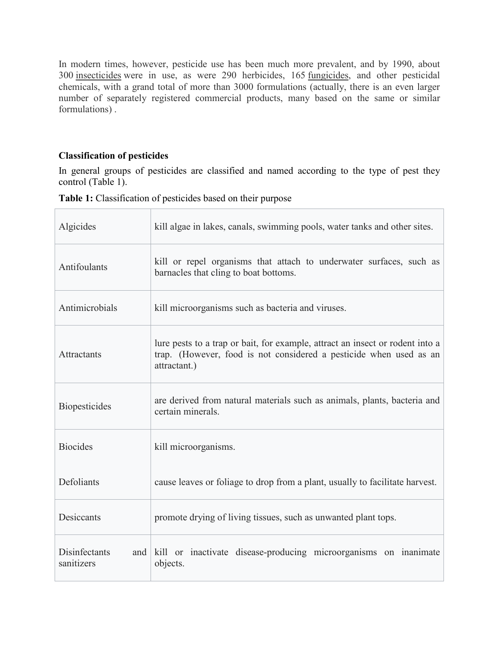In modern times, however, pesticide use has been much more prevalent, and by 1990, about 300 insecticides were in use, as were 290 herbicides, 165 fungicides, and other pesticidal chemicals, with a grand total of more than 3000 formulations (actually, there is an even larger number of separately registered commercial products, many based on the same or similar formulations) .

## **Classification of pesticides**

In general groups of pesticides are classified and named according to the type of pest they control (Table 1).

| Algicides                          | kill algae in lakes, canals, swimming pools, water tanks and other sites.                                                                                           |
|------------------------------------|---------------------------------------------------------------------------------------------------------------------------------------------------------------------|
| Antifoulants                       | kill or repel organisms that attach to underwater surfaces, such as<br>barnacles that cling to boat bottoms.                                                        |
| Antimicrobials                     | kill microorganisms such as bacteria and viruses.                                                                                                                   |
| <b>Attractants</b>                 | lure pests to a trap or bait, for example, attract an insect or rodent into a<br>trap. (However, food is not considered a pesticide when used as an<br>attractant.) |
| <b>Biopesticides</b>               | are derived from natural materials such as animals, plants, bacteria and<br>certain minerals.                                                                       |
| <b>Biocides</b>                    | kill microorganisms.                                                                                                                                                |
| Defoliants                         | cause leaves or foliage to drop from a plant, usually to facilitate harvest.                                                                                        |
| Desiccants                         | promote drying of living tissues, such as unwanted plant tops.                                                                                                      |
| <b>Disinfectants</b><br>sanitizers | and kill or inactivate disease-producing microorganisms on inanimate<br>objects.                                                                                    |

**Table 1:** Classification of pesticides based on their purpose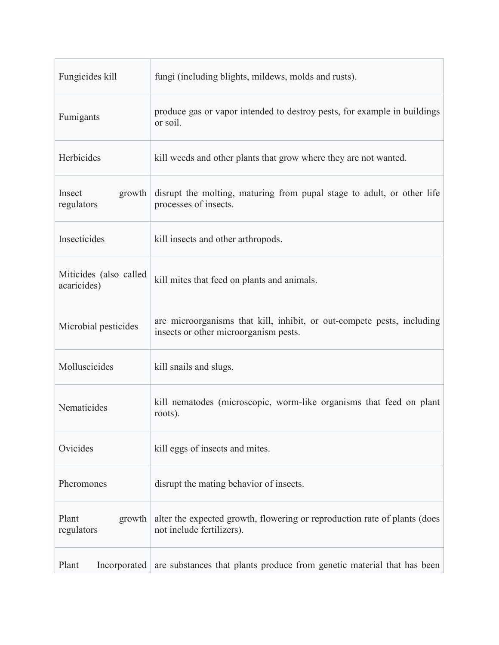| Fungicides kill                       | fungi (including blights, mildews, molds and rusts).                                                            |
|---------------------------------------|-----------------------------------------------------------------------------------------------------------------|
| Fumigants                             | produce gas or vapor intended to destroy pests, for example in buildings<br>or soil.                            |
| Herbicides                            | kill weeds and other plants that grow where they are not wanted.                                                |
| Insect<br>growth<br>regulators        | disrupt the molting, maturing from pupal stage to adult, or other life<br>processes of insects.                 |
| Insecticides                          | kill insects and other arthropods.                                                                              |
| Miticides (also called<br>acaricides) | kill mites that feed on plants and animals.                                                                     |
| Microbial pesticides                  | are microorganisms that kill, inhibit, or out-compete pests, including<br>insects or other microorganism pests. |
| Molluscicides                         | kill snails and slugs.                                                                                          |
| Nematicides                           | kill nematodes (microscopic, worm-like organisms that feed on plant<br>roots).                                  |
| Ovicides                              | kill eggs of insects and mites.                                                                                 |
| Pheromones                            | disrupt the mating behavior of insects.                                                                         |
| Plant<br>growth<br>regulators         | alter the expected growth, flowering or reproduction rate of plants (does<br>not include fertilizers).          |
| Plant<br>Incorporated                 | are substances that plants produce from genetic material that has been                                          |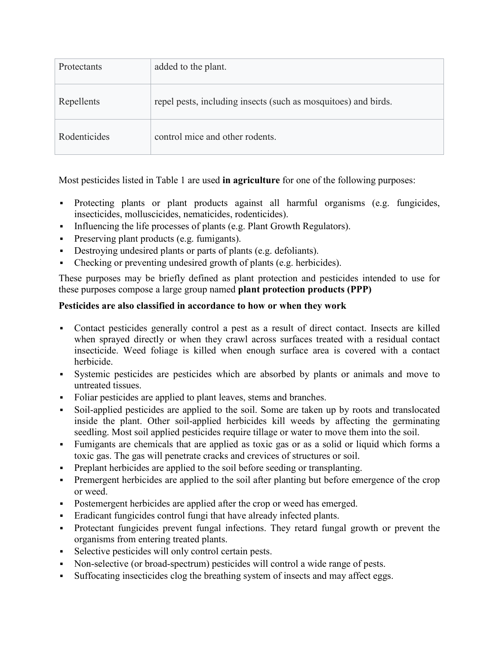| Protectants  | added to the plant.                                            |
|--------------|----------------------------------------------------------------|
| Repellents   | repel pests, including insects (such as mosquitoes) and birds. |
| Rodenticides | control mice and other rodents.                                |

Most pesticides listed in Table 1 are used **in agriculture** for one of the following purposes:

- Protecting plants or plant products against all harmful organisms (e.g. fungicides, insecticides, molluscicides, nematicides, rodenticides).
- Influencing the life processes of plants (e.g. Plant Growth Regulators).
- Preserving plant products (e.g. fumigants).
- Destroying undesired plants or parts of plants (e.g. defoliants).
- Checking or preventing undesired growth of plants (e.g. herbicides).

These purposes may be briefly defined as plant protection and pesticides intended to use for these purposes compose a large group named **plant protection products (PPP)**

# **Pesticides are also classified in accordance to how or when they work**

- Contact pesticides generally control a pest as a result of direct contact. Insects are killed when sprayed directly or when they crawl across surfaces treated with a residual contact insecticide. Weed foliage is killed when enough surface area is covered with a contact herbicide.
- Systemic pesticides are pesticides which are absorbed by plants or animals and move to untreated tissues.
- Foliar pesticides are applied to plant leaves, stems and branches.
- Soil-applied pesticides are applied to the soil. Some are taken up by roots and translocated inside the plant. Other soil-applied herbicides kill weeds by affecting the germinating seedling. Most soil applied pesticides require tillage or water to move them into the soil.
- Fumigants are chemicals that are applied as toxic gas or as a solid or liquid which forms a toxic gas. The gas will penetrate cracks and crevices of structures or soil.
- Preplant herbicides are applied to the soil before seeding or transplanting.
- Premergent herbicides are applied to the soil after planting but before emergence of the crop or weed.
- Postemergent herbicides are applied after the crop or weed has emerged.
- Eradicant fungicides control fungi that have already infected plants.
- Protectant fungicides prevent fungal infections. They retard fungal growth or prevent the organisms from entering treated plants.
- Selective pesticides will only control certain pests.
- Non-selective (or broad-spectrum) pesticides will control a wide range of pests.
- Suffocating insecticides clog the breathing system of insects and may affect eggs.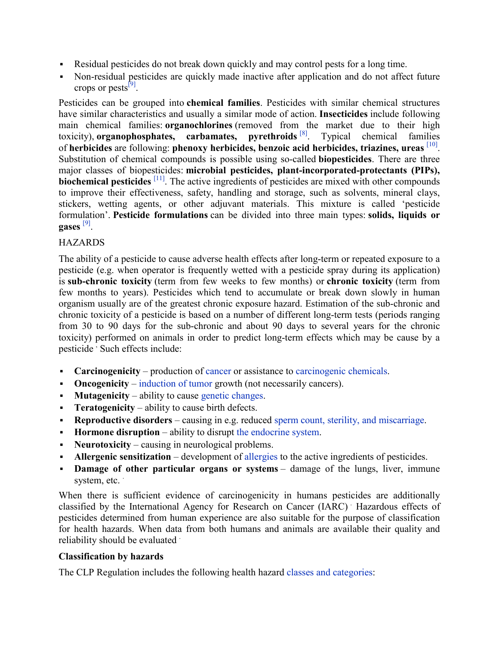- Residual pesticides do not break down quickly and may control pests for a long time.
- Non-residual pesticides are quickly made inactive after application and do not affect future crops or pests $^{[9]}$ .

Pesticides can be grouped into **chemical families**. Pesticides with similar chemical structures have similar characteristics and usually a similar mode of action. **Insecticides** include following main chemical families: **organochlorines** (removed from the market due to their high toxicity), **organophosphates, carbamates, pyrethroids** [8]. Typical chemical families of **herbicides** are following: **phenoxy herbicides, benzoic acid herbicides, triazines, ureas** [10]. Substitution of chemical compounds is possible using so-called **biopesticides**. There are three major classes of biopesticides: **microbial pesticides, plant-incorporated-protectants (PIPs), biochemical pesticides** <sup>[11]</sup>. The active ingredients of pesticides are mixed with other compounds to improve their effectiveness, safety, handling and storage, such as solvents, mineral clays, stickers, wetting agents, or other adjuvant materials. This mixture is called 'pesticide formulation'. **Pesticide formulations** can be divided into three main types: **solids, liquids or gases** [9].

## **HAZARDS**

The ability of a pesticide to cause adverse health effects after long-term or repeated exposure to a pesticide (e.g. when operator is frequently wetted with a pesticide spray during its application) is **sub-chronic toxicity** (term from few weeks to few months) or **chronic toxicity** (term from few months to years). Pesticides which tend to accumulate or break down slowly in human organism usually are of the greatest chronic exposure hazard. Estimation of the sub-chronic and chronic toxicity of a pesticide is based on a number of different long-term tests (periods ranging from 30 to 90 days for the sub-chronic and about 90 days to several years for the chronic toxicity) performed on animals in order to predict long-term effects which may be cause by a pesticide <sup>3</sup> Such effects include:

- **Carcinogenicity** production of cancer or assistance to carcinogenic chemicals.
- **Oncogenicity** induction of tumor growth (not necessarily cancers).
- **Mutagenicity** ability to cause genetic changes.
- **Teratogenicity** ability to cause birth defects.
- **Reproductive disorders** causing in e.g. reduced sperm count, sterility, and miscarriage.
- **Hormone disruption** ability to disrupt the endocrine system.
- **Neurotoxicity** causing in neurological problems.
- **Allergenic sensitization** development of allergies to the active ingredients of pesticides.
- **Damage of other particular organs or systems** damage of the lungs, liver, immune system, etc.

When there is sufficient evidence of carcinogenicity in humans pesticides are additionally classified by the International Agency for Research on Cancer (IARC) . Hazardous effects of pesticides determined from human experience are also suitable for the purpose of classification for health hazards. When data from both humans and animals are available their quality and reliability should be evaluated .

## **Classification by hazards**

The CLP Regulation includes the following health hazard classes and categories: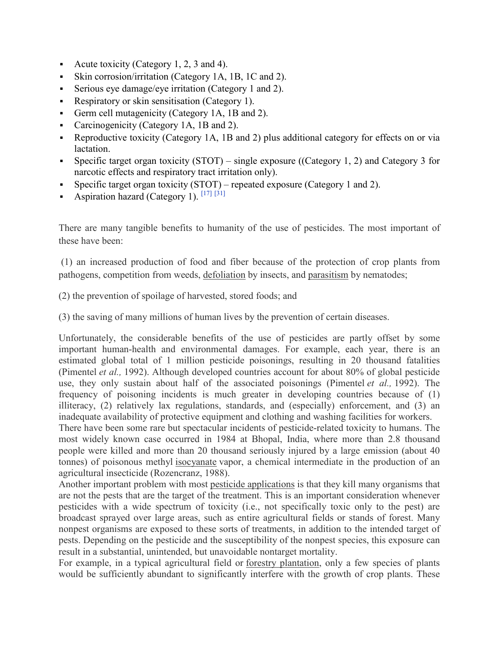- Acute toxicity (Category 1, 2, 3 and 4).
- Skin corrosion/irritation (Category 1A, 1B, 1C and 2).
- Serious eye damage/eye irritation (Category 1 and 2).
- Respiratory or skin sensitisation (Category 1).
- Germ cell mutagenicity (Category 1A, 1B and 2).
- Carcinogenicity (Category 1A, 1B and 2).
- Reproductive toxicity (Category 1A, 1B and 2) plus additional category for effects on or via lactation.
- Specific target organ toxicity (STOT) single exposure ((Category 1, 2) and Category 3 for narcotic effects and respiratory tract irritation only).
- Specific target organ toxicity (STOT) repeated exposure (Category 1 and 2).
- Aspiration hazard (Category 1). [17] [31]

There are many tangible benefits to humanity of the use of pesticides. The most important of these have been:

(1) an increased production of food and fiber because of the protection of crop plants from pathogens, competition from weeds, defoliation by insects, and parasitism by nematodes;

(2) the prevention of spoilage of harvested, stored foods; and

(3) the saving of many millions of human lives by the prevention of certain diseases.

Unfortunately, the considerable benefits of the use of pesticides are partly offset by some important human-health and environmental damages. For example, each year, there is an estimated global total of 1 million pesticide poisonings, resulting in 20 thousand fatalities (Pimentel *et al.,* 1992). Although developed countries account for about 80% of global pesticide use, they only sustain about half of the associated poisonings (Pimentel *et al.,* 1992). The frequency of poisoning incidents is much greater in developing countries because of (1) illiteracy, (2) relatively lax regulations, standards, and (especially) enforcement, and (3) an inadequate availability of protective equipment and clothing and washing facilities for workers.

There have been some rare but spectacular incidents of pesticide-related toxicity to humans. The most widely known case occurred in 1984 at Bhopal, India, where more than 2.8 thousand people were killed and more than 20 thousand seriously injured by a large emission (about 40 tonnes) of poisonous methyl isocyanate vapor, a chemical intermediate in the production of an agricultural insecticide (Rozencranz, 1988).

Another important problem with most pesticide applications is that they kill many organisms that are not the pests that are the target of the treatment. This is an important consideration whenever pesticides with a wide spectrum of toxicity (i.e., not specifically toxic only to the pest) are broadcast sprayed over large areas, such as entire agricultural fields or stands of forest. Many nonpest organisms are exposed to these sorts of treatments, in addition to the intended target of pests. Depending on the pesticide and the susceptibility of the nonpest species, this exposure can result in a substantial, unintended, but unavoidable nontarget mortality.

For example, in a typical agricultural field or forestry plantation, only a few species of plants would be sufficiently abundant to significantly interfere with the growth of crop plants. These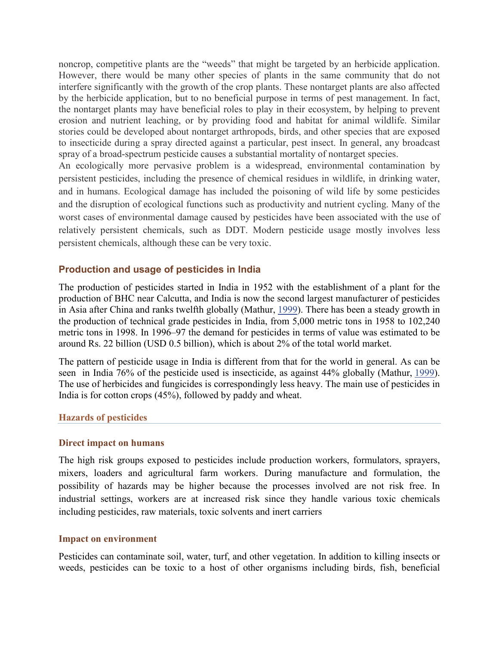noncrop, competitive plants are the "weeds" that might be targeted by an herbicide application. However, there would be many other species of plants in the same community that do not interfere significantly with the growth of the crop plants. These nontarget plants are also affected by the herbicide application, but to no beneficial purpose in terms of pest management. In fact, the nontarget plants may have beneficial roles to play in their ecosystem, by helping to prevent erosion and nutrient leaching, or by providing food and habitat for animal wildlife. Similar stories could be developed about nontarget arthropods, birds, and other species that are exposed to insecticide during a spray directed against a particular, pest insect. In general, any broadcast spray of a broad-spectrum pesticide causes a substantial mortality of nontarget species.

An ecologically more pervasive problem is a widespread, environmental contamination by persistent pesticides, including the presence of chemical residues in wildlife, in drinking water, and in humans. Ecological damage has included the poisoning of wild life by some pesticides and the disruption of ecological functions such as productivity and nutrient cycling. Many of the worst cases of environmental damage caused by pesticides have been associated with the use of relatively persistent chemicals, such as DDT. Modern pesticide usage mostly involves less persistent chemicals, although these can be very toxic.

## **Production and usage of pesticides in India**

The production of pesticides started in India in 1952 with the establishment of a plant for the production of BHC near Calcutta, and India is now the second largest manufacturer of pesticides in Asia after China and ranks twelfth globally (Mathur, 1999). There has been a steady growth in the production of technical grade pesticides in India, from 5,000 metric tons in 1958 to 102,240 metric tons in 1998. In 1996–97 the demand for pesticides in terms of value was estimated to be around Rs. 22 billion (USD 0.5 billion), which is about 2% of the total world market.

The pattern of pesticide usage in India is different from that for the world in general. As can be seen in India 76% of the pesticide used is insecticide, as against 44% globally (Mathur, 1999). The use of herbicides and fungicides is correspondingly less heavy. The main use of pesticides in India is for cotton crops (45%), followed by paddy and wheat.

#### **Hazards of pesticides**

### **Direct impact on humans**

The high risk groups exposed to pesticides include production workers, formulators, sprayers, mixers, loaders and agricultural farm workers. During manufacture and formulation, the possibility of hazards may be higher because the processes involved are not risk free. In industrial settings, workers are at increased risk since they handle various toxic chemicals including pesticides, raw materials, toxic solvents and inert carriers

#### **Impact on environment**

Pesticides can contaminate soil, water, turf, and other vegetation. In addition to killing insects or weeds, pesticides can be toxic to a host of other organisms including birds, fish, beneficial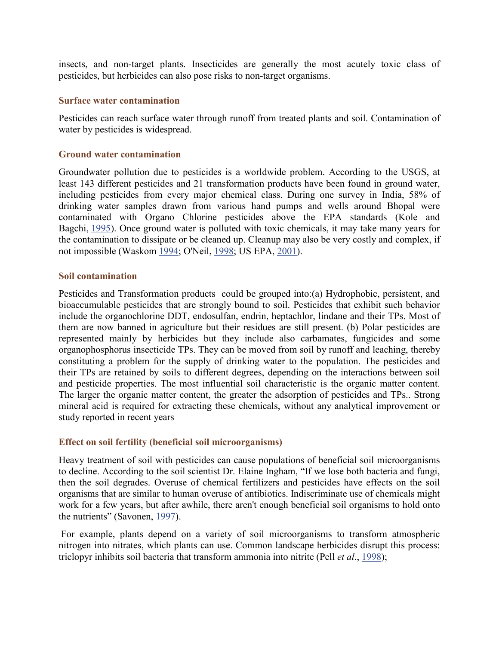insects, and non-target plants. Insecticides are generally the most acutely toxic class of pesticides, but herbicides can also pose risks to non-target organisms.

#### **Surface water contamination**

Pesticides can reach surface water through runoff from treated plants and soil. Contamination of water by pesticides is widespread.

### **Ground water contamination**

Groundwater pollution due to pesticides is a worldwide problem. According to the USGS, at least 143 different pesticides and 21 transformation products have been found in ground water, including pesticides from every major chemical class. During one survey in India, 58% of drinking water samples drawn from various hand pumps and wells around Bhopal were contaminated with Organo Chlorine pesticides above the EPA standards (Kole and Bagchi, 1995). Once ground water is polluted with toxic chemicals, it may take many years for the contamination to dissipate or be cleaned up. Cleanup may also be very costly and complex, if not impossible (Waskom 1994; O'Neil, 1998; US EPA, 2001).

#### **Soil contamination**

Pesticides and Transformation products could be grouped into:(a) Hydrophobic, persistent, and bioaccumulable pesticides that are strongly bound to soil. Pesticides that exhibit such behavior include the organochlorine DDT, endosulfan, endrin, heptachlor, lindane and their TPs. Most of them are now banned in agriculture but their residues are still present. (b) Polar pesticides are represented mainly by herbicides but they include also carbamates, fungicides and some organophosphorus insecticide TPs. They can be moved from soil by runoff and leaching, thereby constituting a problem for the supply of drinking water to the population. The pesticides and their TPs are retained by soils to different degrees, depending on the interactions between soil and pesticide properties. The most influential soil characteristic is the organic matter content. The larger the organic matter content, the greater the adsorption of pesticides and TPs.. Strong mineral acid is required for extracting these chemicals, without any analytical improvement or study reported in recent years

### **Effect on soil fertility (beneficial soil microorganisms)**

Heavy treatment of soil with pesticides can cause populations of beneficial soil microorganisms to decline. According to the soil scientist Dr. Elaine Ingham, "If we lose both bacteria and fungi, then the soil degrades. Overuse of chemical fertilizers and pesticides have effects on the soil organisms that are similar to human overuse of antibiotics. Indiscriminate use of chemicals might work for a few years, but after awhile, there aren't enough beneficial soil organisms to hold onto the nutrients" (Savonen, 1997).

For example, plants depend on a variety of soil microorganisms to transform atmospheric nitrogen into nitrates, which plants can use. Common landscape herbicides disrupt this process: triclopyr inhibits soil bacteria that transform ammonia into nitrite (Pell *et al*., 1998);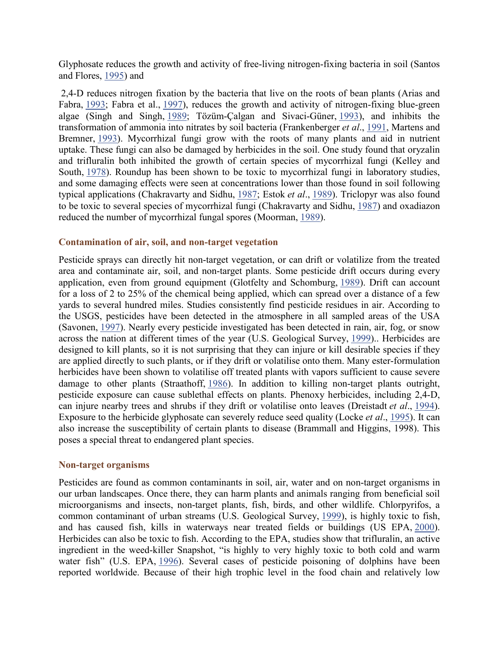Glyphosate reduces the growth and activity of free-living nitrogen-fixing bacteria in soil (Santos and Flores, 1995) and

2,4-D reduces nitrogen fixation by the bacteria that live on the roots of bean plants (Arias and Fabra, 1993; Fabra et al., 1997), reduces the growth and activity of nitrogen-fixing blue-green algae (Singh and Singh, 1989; Tözüm-Çalgan and Sivaci-Güner, 1993), and inhibits the transformation of ammonia into nitrates by soil bacteria (Frankenberger *et al*., 1991, Martens and Bremner, 1993). Mycorrhizal fungi grow with the roots of many plants and aid in nutrient uptake. These fungi can also be damaged by herbicides in the soil. One study found that oryzalin and trifluralin both inhibited the growth of certain species of mycorrhizal fungi (Kelley and South, 1978). Roundup has been shown to be toxic to mycorrhizal fungi in laboratory studies, and some damaging effects were seen at concentrations lower than those found in soil following typical applications (Chakravarty and Sidhu, 1987; Estok *et al*., 1989). Triclopyr was also found to be toxic to several species of mycorrhizal fungi (Chakravarty and Sidhu, 1987) and oxadiazon reduced the number of mycorrhizal fungal spores (Moorman, 1989).

#### **Contamination of air, soil, and non-target vegetation**

Pesticide sprays can directly hit non-target vegetation, or can drift or volatilize from the treated area and contaminate air, soil, and non-target plants. Some pesticide drift occurs during every application, even from ground equipment (Glotfelty and Schomburg, 1989). Drift can account for a loss of 2 to 25% of the chemical being applied, which can spread over a distance of a few yards to several hundred miles. Studies consistently find pesticide residues in air. According to the USGS, pesticides have been detected in the atmosphere in all sampled areas of the USA (Savonen, 1997). Nearly every pesticide investigated has been detected in rain, air, fog, or snow across the nation at different times of the year (U.S. Geological Survey, 1999).. Herbicides are designed to kill plants, so it is not surprising that they can injure or kill desirable species if they are applied directly to such plants, or if they drift or volatilise onto them. Many ester-formulation herbicides have been shown to volatilise off treated plants with vapors sufficient to cause severe damage to other plants (Straathoff, 1986). In addition to killing non-target plants outright, pesticide exposure can cause sublethal effects on plants. Phenoxy herbicides, including 2,4-D, can injure nearby trees and shrubs if they drift or volatilise onto leaves (Dreistadt *et al*., 1994). Exposure to the herbicide glyphosate can severely reduce seed quality (Locke *et al*., 1995). It can also increase the susceptibility of certain plants to disease (Brammall and Higgins, 1998). This poses a special threat to endangered plant species.

#### **Non-target organisms**

Pesticides are found as common contaminants in soil, air, water and on non-target organisms in our urban landscapes. Once there, they can harm plants and animals ranging from beneficial soil microorganisms and insects, non-target plants, fish, birds, and other wildlife. Chlorpyrifos, a common contaminant of urban streams (U.S. Geological Survey, 1999), is highly toxic to fish, and has caused fish, kills in waterways near treated fields or buildings (US EPA, 2000). Herbicides can also be toxic to fish. According to the EPA, studies show that trifluralin, an active ingredient in the weed-killer Snapshot, "is highly to very highly toxic to both cold and warm water fish" (U.S. EPA, 1996). Several cases of pesticide poisoning of dolphins have been reported worldwide. Because of their high trophic level in the food chain and relatively low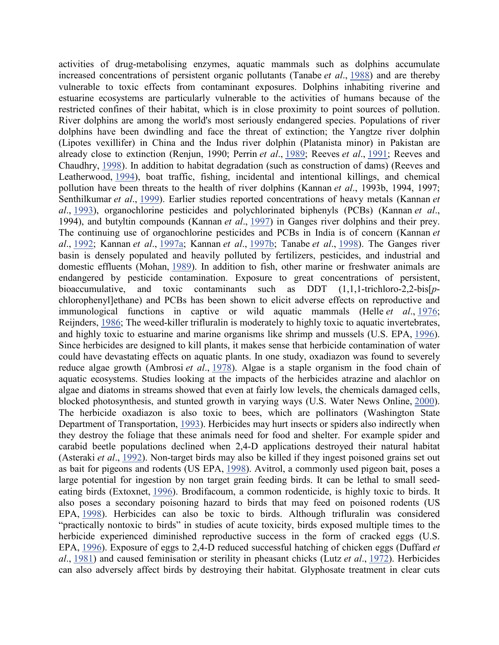activities of drug-metabolising enzymes, aquatic mammals such as dolphins accumulate increased concentrations of persistent organic pollutants (Tanabe *et al*., 1988) and are thereby vulnerable to toxic effects from contaminant exposures. Dolphins inhabiting riverine and estuarine ecosystems are particularly vulnerable to the activities of humans because of the restricted confines of their habitat, which is in close proximity to point sources of pollution. River dolphins are among the world's most seriously endangered species. Populations of river dolphins have been dwindling and face the threat of extinction; the Yangtze river dolphin (Lipotes vexillifer) in China and the Indus river dolphin (Platanista minor) in Pakistan are already close to extinction (Renjun, 1990; Perrin *et al*., 1989; Reeves *et al*., 1991; Reeves and Chaudhry, 1998). In addition to habitat degradation (such as construction of dams) (Reeves and Leatherwood, 1994), boat traffic, fishing, incidental and intentional killings, and chemical pollution have been threats to the health of river dolphins (Kannan *et al*., 1993b, 1994, 1997; Senthilkumar *et al*., 1999). Earlier studies reported concentrations of heavy metals (Kannan *et al*., 1993), organochlorine pesticides and polychlorinated biphenyls (PCBs) (Kannan *et al*., 1994), and butyltin compounds (Kannan *et al*., 1997) in Ganges river dolphins and their prey. The continuing use of organochlorine pesticides and PCBs in India is of concern (Kannan *et al*., 1992; Kannan *et al*., 1997a; Kannan *et al*., 1997b; Tanabe *et al*., 1998). The Ganges river basin is densely populated and heavily polluted by fertilizers, pesticides, and industrial and domestic effluents (Mohan, 1989). In addition to fish, other marine or freshwater animals are endangered by pesticide contamination. Exposure to great concentrations of persistent, bioaccumulative, and toxic contaminants such as DDT (1,1,1-trichloro-2,2-bis[*p*chlorophenyl]ethane) and PCBs has been shown to elicit adverse effects on reproductive and immunological functions in captive or wild aquatic mammals (Helle *et al*., 1976; Reijnders, 1986; The weed-killer trifluralin is moderately to highly toxic to aquatic invertebrates, and highly toxic to estuarine and marine organisms like shrimp and mussels (U.S. EPA, 1996). Since herbicides are designed to kill plants, it makes sense that herbicide contamination of water could have devastating effects on aquatic plants. In one study, oxadiazon was found to severely reduce algae growth (Ambrosi *et al*., 1978). Algae is a staple organism in the food chain of aquatic ecosystems. Studies looking at the impacts of the herbicides atrazine and alachlor on algae and diatoms in streams showed that even at fairly low levels, the chemicals damaged cells, blocked photosynthesis, and stunted growth in varying ways (U.S. Water News Online, 2000). The herbicide oxadiazon is also toxic to bees, which are pollinators (Washington State Department of Transportation, 1993). Herbicides may hurt insects or spiders also indirectly when they destroy the foliage that these animals need for food and shelter. For example spider and carabid beetle populations declined when 2,4-D applications destroyed their natural habitat (Asteraki *et al*., 1992). Non-target birds may also be killed if they ingest poisoned grains set out as bait for pigeons and rodents (US EPA, 1998). Avitrol, a commonly used pigeon bait, poses a large potential for ingestion by non target grain feeding birds. It can be lethal to small seedeating birds (Extoxnet, 1996). Brodifacoum, a common rodenticide, is highly toxic to birds. It also poses a secondary poisoning hazard to birds that may feed on poisoned rodents (US EPA, 1998). Herbicides can also be toxic to birds. Although trifluralin was considered "practically nontoxic to birds" in studies of acute toxicity, birds exposed multiple times to the herbicide experienced diminished reproductive success in the form of cracked eggs (U.S. EPA, 1996). Exposure of eggs to 2,4-D reduced successful hatching of chicken eggs (Duffard *et al*., 1981) and caused feminisation or sterility in pheasant chicks (Lutz *et al*., 1972). Herbicides can also adversely affect birds by destroying their habitat. Glyphosate treatment in clear cuts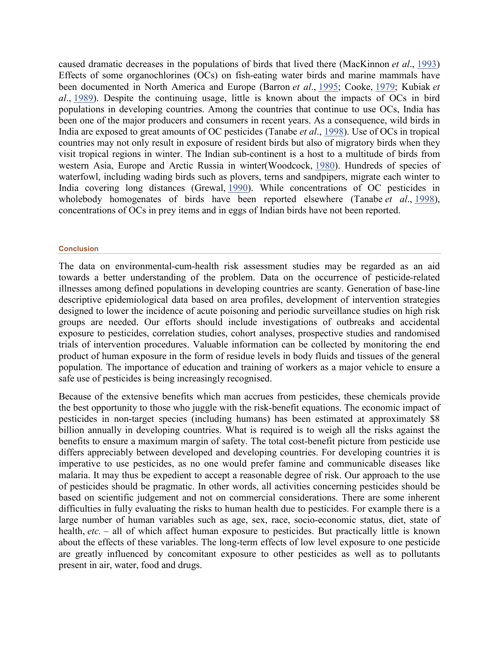caused dramatic decreases in the populations of birds that lived there (MacKinnon *et al*., 1993) Effects of some organochlorines (OCs) on fish-eating water birds and marine mammals have been documented in North America and Europe (Barron *et al*., 1995; Cooke, 1979; Kubiak *et al*., 1989). Despite the continuing usage, little is known about the impacts of OCs in bird populations in developing countries. Among the countries that continue to use OCs, India has been one of the major producers and consumers in recent years. As a consequence, wild birds in India are exposed to great amounts of OC pesticides (Tanabe *et al*., 1998). Use of OCs in tropical countries may not only result in exposure of resident birds but also of migratory birds when they visit tropical regions in winter. The Indian sub-continent is a host to a multitude of birds from western Asia, Europe and Arctic Russia in winter(Woodcock, 1980). Hundreds of species of waterfowl, including wading birds such as plovers, terns and sandpipers, migrate each winter to India covering long distances (Grewal, 1990). While concentrations of OC pesticides in wholebody homogenates of birds have been reported elsewhere (Tanabe *et al*., 1998), concentrations of OCs in prey items and in eggs of Indian birds have not been reported.

#### **Conclusion**

The data on environmental-cum-health risk assessment studies may be regarded as an aid towards a better understanding of the problem. Data on the occurrence of pesticide-related illnesses among defined populations in developing countries are scanty. Generation of base-line descriptive epidemiological data based on area profiles, development of intervention strategies designed to lower the incidence of acute poisoning and periodic surveillance studies on high risk groups are needed. Our efforts should include investigations of outbreaks and accidental exposure to pesticides, correlation studies, cohort analyses, prospective studies and randomised trials of intervention procedures. Valuable information can be collected by monitoring the end product of human exposure in the form of residue levels in body fluids and tissues of the general population. The importance of education and training of workers as a major vehicle to ensure a safe use of pesticides is being increasingly recognised.

Because of the extensive benefits which man accrues from pesticides, these chemicals provide the best opportunity to those who juggle with the risk-benefit equations. The economic impact of pesticides in non-target species (including humans) has been estimated at approximately \$8 billion annually in developing countries. What is required is to weigh all the risks against the benefits to ensure a maximum margin of safety. The total cost-benefit picture from pesticide use differs appreciably between developed and developing countries. For developing countries it is imperative to use pesticides, as no one would prefer famine and communicable diseases like malaria. It may thus be expedient to accept a reasonable degree of risk. Our approach to the use of pesticides should be pragmatic. In other words, all activities concerning pesticides should be based on scientific judgement and not on commercial considerations. There are some inherent difficulties in fully evaluating the risks to human health due to pesticides. For example there is a large number of human variables such as age, sex, race, socio-economic status, diet, state of health, *etc.* – all of which affect human exposure to pesticides. But practically little is known about the effects of these variables. The long-term effects of low level exposure to one pesticide are greatly influenced by concomitant exposure to other pesticides as well as to pollutants present in air, water, food and drugs.